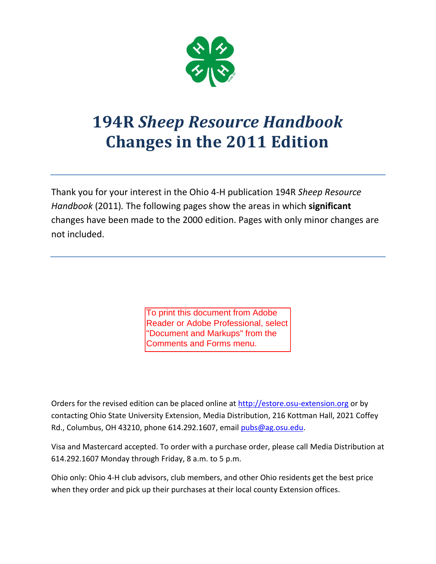

# **194R** *Sheep Resource Handbook* **Changes in the 2011 Edition**

Thank you for your interest in the Ohio 4-H publication 194R *Sheep Resource Handbook* (2011)*.* The following pages show the areas in which **significant**  changes have been made to the 2000 edition. Pages with only minor changes are not included.

> To print this document from Adobe Reader or Adobe Professional, select "Document and Markups" from the Comments and Forms menu.

Orders for the revised edition can be placed online at [http://estore.osu-extension.org](http://estore.osu-extension.org/) or by contacting Ohio State University Extension, Media Distribution, 216 Kottman Hall, 2021 Coffey Rd., Columbus, OH 43210, phone 614.292.1607, email [pubs@ag.osu.edu.](mailto:pubs@ag.osu.edu)

Visa and Mastercard accepted. To order with a purchase order, please call Media Distribution at 614.292.1607 Monday through Friday, 8 a.m. to 5 p.m.

Ohio only: Ohio 4-H club advisors, club members, and other Ohio residents get the best price when they order and pick up their purchases at their local county Extension offices.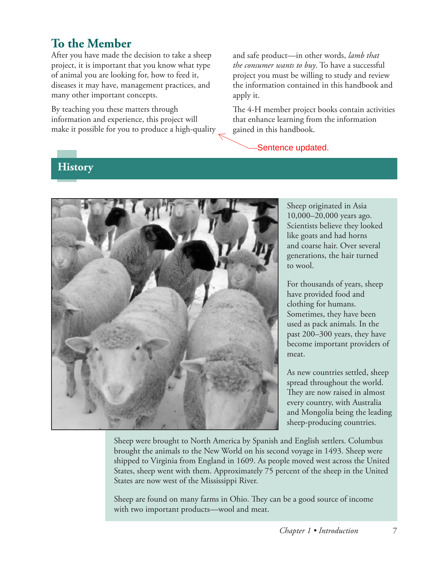# **To the Member**

After you have made the decision to take a sheep project, it is important that you know what type of animal you are looking for, how to feed it, diseases it may have, management practices, and many other important concepts.

By teaching you these matters through information and experience, this project will make it possible for you to produce a high-quality and safe product—in other words, *lamb that the consumer wants to buy*. To have a successful project you must be willing to study and review the information contained in this handbook and apply it.

The 4-H member project books contain activities that enhance learning from the information gained in this handbook.

Sentence updated.

#### **History**



Sheep originated in Asia 10,000–20,000 years ago. Scientists believe they looked like goats and had horns and coarse hair. Over several generations, the hair turned to wool.

For thousands of years, sheep have provided food and clothing for humans. Sometimes, they have been used as pack animals. In the past 200–300 years, they have become important providers of meat.

As new countries settled, sheep spread throughout the world. They are now raised in almost every country, with Australia and Mongolia being the leading sheep-producing countries.

Sheep were brought to North America by Spanish and English settlers. Columbus brought the animals to the New World on his second voyage in 1493. Sheep were shipped to Virginia from England in 1609. As people moved west across the United States, sheep went with them. Approximately 75 percent of the sheep in the United States are now west of the Mississippi River.

Sheep are found on many farms in Ohio. They can be a good source of income with two important products—wool and meat.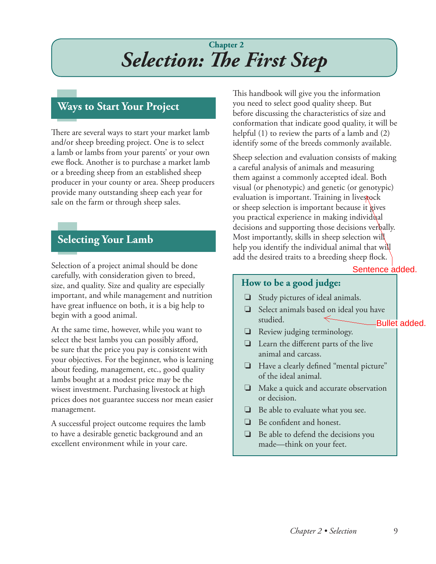# **Chapter 2** *Selection: The First Step*

#### **Ways to Start Your Project**

There are several ways to start your market lamb and/or sheep breeding project. One is to select a lamb or lambs from your parents' or your own ewe flock. Another is to purchase a market lamb or a breeding sheep from an established sheep producer in your county or area. Sheep producers provide many outstanding sheep each year for sale on the farm or through sheep sales.

#### **Selecting Your Lamb**

Selection of a project animal should be done carefully, with consideration given to breed, size, and quality. Size and quality are especially important, and while management and nutrition have great influence on both, it is a big help to begin with a good animal.

At the same time, however, while you want to select the best lambs you can possibly afford, be sure that the price you pay is consistent with your objectives. For the beginner, who is learning about feeding, management, etc., good quality lambs bought at a modest price may be the wisest investment. Purchasing livestock at high prices does not guarantee success nor mean easier management.

A successful project outcome requires the lamb to have a desirable genetic background and an excellent environment while in your care.

This handbook will give you the information you need to select good quality sheep. But before discussing the characteristics of size and conformation that indicate good quality, it will be helpful (1) to review the parts of a lamb and (2) identify some of the breeds commonly available.

Sheep selection and evaluation consists of making a careful analysis of animals and measuring them against a commonly accepted ideal. Both visual (or phenotypic) and genetic (or genotypic) evaluation is important. Training in livestock or sheep selection is important because it gives you practical experience in making individual decisions and supporting those decisions verbally. Most importantly, skills in sheep selection will help you identify the individual animal that will add the desired traits to a breeding sheep flock.

#### **How to be a good judge:**

- ❏ Study pictures of ideal animals.
- ❏ Select animals based on ideal you have studied. Sentence added.<br>
als.<br>
I you have<br>
Bullet added.
- ❏ Review judging terminology.
- ❏ Learn the different parts of the live animal and carcass.
- ❏ Have a clearly defined "mental picture" of the ideal animal.
- ❏ Make a quick and accurate observation or decision.
- ❏ Be able to evaluate what you see.
- ❏ Be confident and honest.
- ❏ Be able to defend the decisions you made—think on your feet.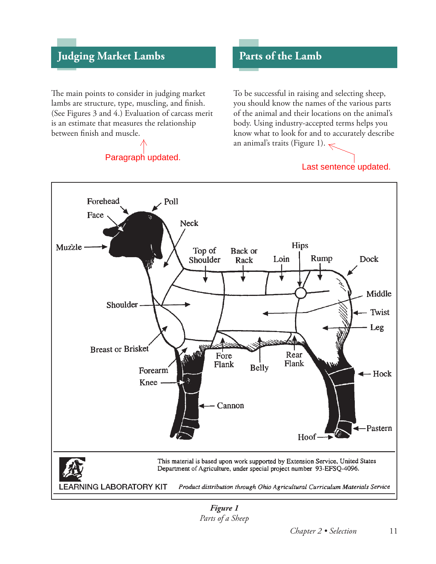# **Judging Market Lambs Parts of the Lamb**

The main points to consider in judging market lambs are structure, type, muscling, and finish. (See Figures 3 and 4.) Evaluation of carcass merit is an estimate that measures the relationship between finish and muscle.

# Paragraph updated.

To be successful in raising and selecting sheep, you should know the names of the various parts of the animal and their locations on the animal's body. Using industry-accepted terms helps you know what to look for and to accurately describe an animal's traits (Figure 1).

#### Last sentence updated.



*Figure 1 Parts of a Sheep*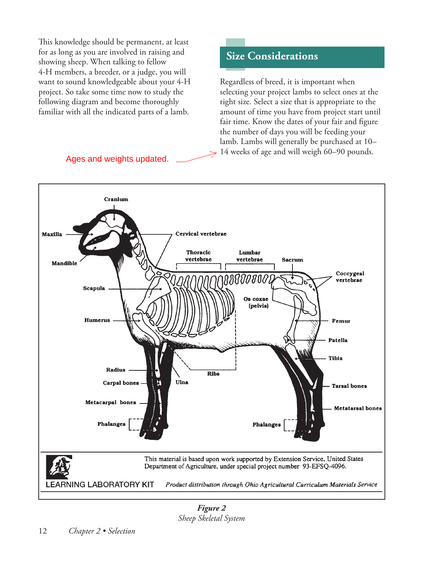This knowledge should be permanent, at least for as long as you are involved in raising and showing sheep. When talking to fellow 4-H members, a breeder, or a judge, you will want to sound knowledgeable about your 4-H project. So take some time now to study the following diagram and become thoroughly familiar with all the indicated parts of a lamb.

Ages and weights updated.

#### **Size Considerations**

Regardless of breed, it is important when selecting your project lambs to select ones at the right size. Select a size that is appropriate to the amount of time you have from project start until fair time. Know the dates of your fair and figure the number of days you will be feeding your lamb. Lambs will generally be purchased at 10– 14 weeks of age and will weigh 60–90 pounds.



*Figure 2 Sheep Skeletal System*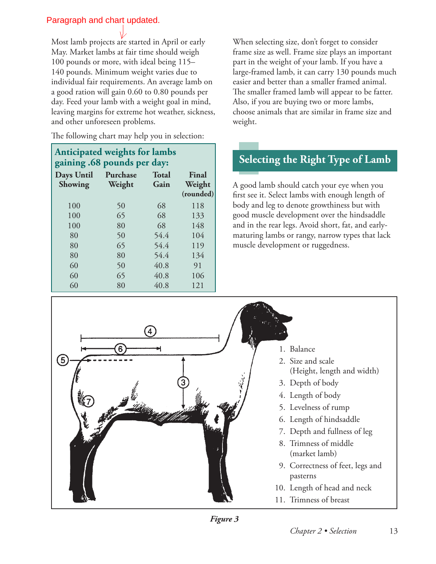#### Paragraph and chart updated.

Most lamb projects are started in April or early May. Market lambs at fair time should weigh 100 pounds or more, with ideal being 115– 140 pounds. Minimum weight varies due to individual fair requirements. An average lamb on a good ration will gain 0.60 to 0.80 pounds per day. Feed your lamb with a weight goal in mind, leaving margins for extreme hot weather, sickness, and other unforeseen problems.

The following chart may help you in selection:

#### **Anticipated weights for lambs gaining .68 pounds per day:**

| Days Until<br>Showing | Purchase<br>Weight | <b>Total</b><br>Gain | Final<br>Weight<br>(rounded) |
|-----------------------|--------------------|----------------------|------------------------------|
| 100                   | 50                 | 68                   | 118                          |
| 100                   | 65                 | 68                   | 133                          |
| 100                   | 80                 | 68                   | 148                          |
| 80                    | 50                 | 54.4                 | 104                          |
| 80                    | 65                 | 54.4                 | 119                          |
| 80                    | 80                 | 54.4                 | 134                          |
| 60                    | 50                 | 40.8                 | 91                           |
| 60                    | 65                 | 40.8                 | 106                          |
| 60                    | 80                 | 40.8                 | 121                          |

When selecting size, don't forget to consider frame size as well. Frame size plays an important part in the weight of your lamb. If you have a large-framed lamb, it can carry 130 pounds much easier and better than a smaller framed animal. The smaller framed lamb will appear to be fatter. Also, if you are buying two or more lambs, choose animals that are similar in frame size and weight.

# **Selecting the Right Type of Lamb**

A good lamb should catch your eye when you first see it. Select lambs with enough length of body and leg to denote growthiness but with good muscle development over the hindsaddle and in the rear legs. Avoid short, fat, and earlymaturing lambs or rangy, narrow types that lack muscle development or ruggedness.

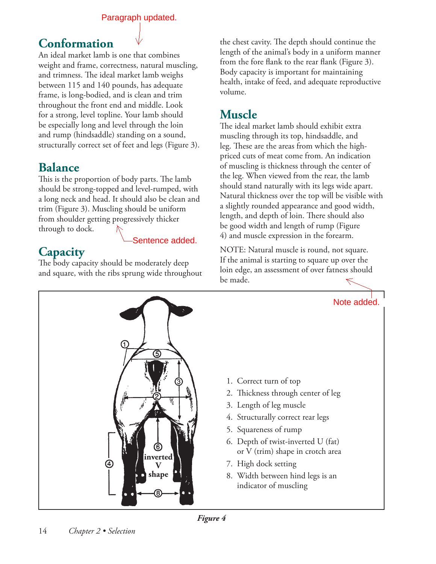Paragraph updated.

#### **Conformation**

An ideal market lamb is one that combines weight and frame, correctness, natural muscling, and trimness. The ideal market lamb weighs between 115 and 140 pounds, has adequate frame, is long-bodied, and is clean and trim throughout the front end and middle. Look for a strong, level topline. Your lamb should be especially long and level through the loin and rump (hindsaddle) standing on a sound, structurally correct set of feet and legs (Figure 3).

# **Balance**

This is the proportion of body parts. The lamb should be strong-topped and level-rumped, with a long neck and head. It should also be clean and trim (Figure 3). Muscling should be uniform from shoulder getting progressively thicker through to dock.

# **Capacity**

The body capacity should be moderately deep and square, with the ribs sprung wide throughout

the chest cavity. The depth should continue the length of the animal's body in a uniform manner from the fore flank to the rear flank (Figure 3). Body capacity is important for maintaining health, intake of feed, and adequate reproductive volume.

# **Muscle**

The ideal market lamb should exhibit extra muscling through its top, hindsaddle, and leg. These are the areas from which the highpriced cuts of meat come from. An indication of muscling is thickness through the center of the leg. When viewed from the rear, the lamb should stand naturally with its legs wide apart. Natural thickness over the top will be visible with a slightly rounded appearance and good width, length, and depth of loin. There should also be good width and length of rump (Figure 4) and muscle expression in the forearm.

NOTE: Natural muscle is round, not square. If the animal is starting to square up over the loin edge, an assessment of over fatness should be made. Sentence added.<br>
NOTE: Natural muscle is round, not square.<br>
If the animal is starting to square up over the<br>
loin edge, an assessment of over fatness should<br>
be made.



- 1. Correct turn of top
- 2. Thickness through center of leg
- 3. Length of leg muscle
- 4. Structurally correct rear legs
- 5. Squareness of rump
- 6. Depth of twist-inverted U (fat) or V (trim) shape in crotch area
- 7. High dock setting
- 8. Width between hind legs is an indicator of muscling

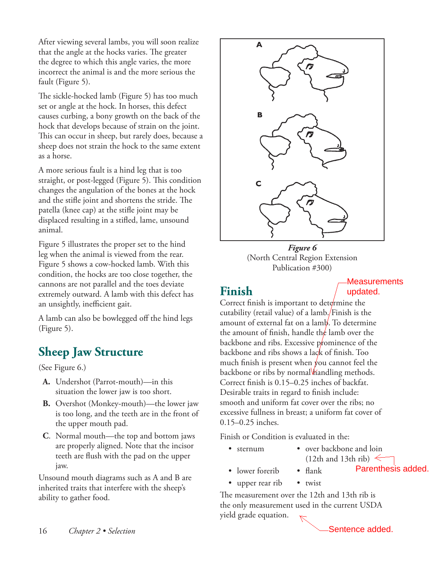After viewing several lambs, you will soon realize that the angle at the hocks varies. The greater the degree to which this angle varies, the more incorrect the animal is and the more serious the fault (Figure 5).

The sickle-hocked lamb (Figure 5) has too much set or angle at the hock. In horses, this defect causes curbing, a bony growth on the back of the hock that develops because of strain on the joint. This can occur in sheep, but rarely does, because a sheep does not strain the hock to the same extent as a horse.

A more serious fault is a hind leg that is too straight, or post-legged (Figure 5). This condition changes the angulation of the bones at the hock and the stifle joint and shortens the stride. The patella (knee cap) at the stifle joint may be displaced resulting in a stifled, lame, unsound animal.

Figure 5 illustrates the proper set to the hind leg when the animal is viewed from the rear. Figure 5 shows a cow-hocked lamb. With this condition, the hocks are too close together, the cannons are not parallel and the toes deviate extremely outward. A lamb with this defect has an unsightly, inefficient gait.

A lamb can also be bowlegged off the hind legs (Figure 5).

# **Sheep Jaw Structure**

(See Figure 6.)

- **A.** Undershot (Parrot-mouth)—in this situation the lower jaw is too short.
- **B.** Overshot (Monkey-mouth)—the lower jaw is too long, and the teeth are in the front of the upper mouth pad.
- **C**. Normal mouth—the top and bottom jaws are properly aligned. Note that the incisor teeth are flush with the pad on the upper jaw.

Unsound mouth diagrams such as A and B are inherited traits that interfere with the sheep's ability to gather food.



*Figure 6*  (North Central Region Extension Publication #300)

# **Finish**

Measurements updated.

Correct finish is important to determine the cutability (retail value) of a lamb. Finish is the amount of external fat on a lamb. To determine the amount of finish, handle the lamb over the backbone and ribs. Excessive prominence of the backbone and ribs shows a lack of finish. Too much finish is present when  $\rlap/v$ ou cannot feel the backbone or ribs by normal *Mandling methods*. Correct finish is 0.15–0.25 inches of backfat. Desirable traits in regard to finish include: smooth and uniform fat cover over the ribs; no excessive fullness in breast; a uniform fat cover of 0.15–0.25 inches.

Finish or Condition is evaluated in the:

- 
- sternum over backbone and loin (12th and 13th rib)  $\leq$
- lower forerib flank
- 
- upper rear rib twist

The measurement over the 12th and 13th rib is the only measurement used in the current USDA yield grade equation. Parenthesis added.<br>
and 13th rib is<br>
e current USDA<br>
Sentence added.

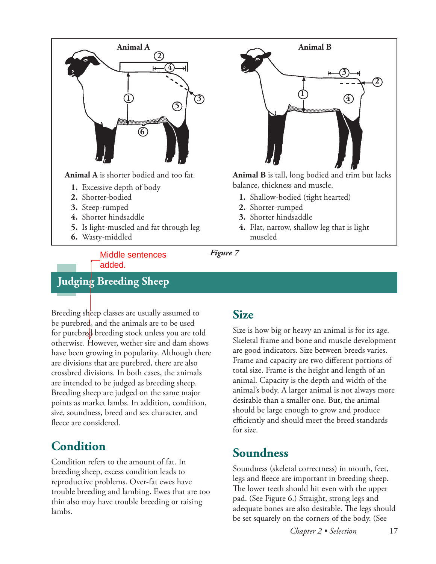



**Animal B** is tall, long bodied and trim but lacks balance, thickness and muscle.

- **1.** Shallow-bodied (tight hearted)
- **2.** Shorter-rumped
- **3.** Shorter hindsaddle
- **4.** Flat, narrow, shallow leg that is light muscled

Middle sentences added.

## **Judging Breeding Sheep**

Breeding sheep classes are usually assumed to be purebred, and the animals are to be used for purebred breeding stock unless you are told otherwise. However, wether sire and dam shows have been growing in popularity. Although there are divisions that are purebred, there are also crossbred divisions. In both cases, the animals are intended to be judged as breeding sheep. Breeding sheep are judged on the same major points as market lambs. In addition, condition, size, soundness, breed and sex character, and fleece are considered.

# **Condition**

Condition refers to the amount of fat. In breeding sheep, excess condition leads to reproductive problems. Over-fat ewes have trouble breeding and lambing. Ewes that are too thin also may have trouble breeding or raising lambs.

#### **Size**

Size is how big or heavy an animal is for its age. Skeletal frame and bone and muscle development are good indicators. Size between breeds varies. Frame and capacity are two different portions of total size. Frame is the height and length of an animal. Capacity is the depth and width of the animal's body. A larger animal is not always more desirable than a smaller one. But, the animal should be large enough to grow and produce efficiently and should meet the breed standards for size.

## **Soundness**

Soundness (skeletal correctness) in mouth, feet, legs and fleece are important in breeding sheep. The lower teeth should hit even with the upper pad. (See Figure 6.) Straight, strong legs and adequate bones are also desirable. The legs should be set squarely on the corners of the body. (See

 *Chapter 2 • Selection* 17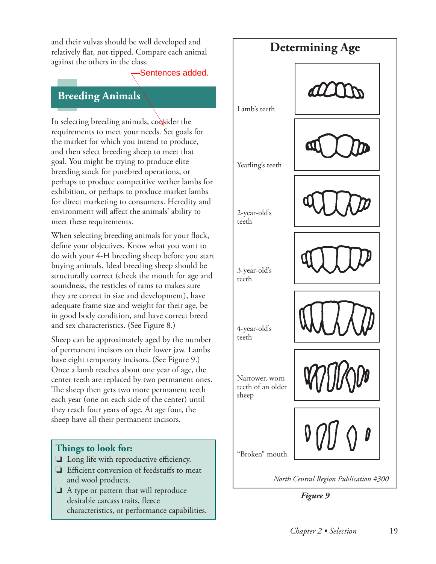and their vulvas should be well developed and<br> **Determining Age** relatively flat, not tipped. Compare each animal against the others in the class.

Sentences added.

#### **Breeding Animals**

In selecting breeding animals, consider the requirements to meet your needs. Set goals for the market for which you intend to produce, and then select breeding sheep to meet that goal. You might be trying to produce elite breeding stock for purebred operations, or perhaps to produce competitive wether lambs for exhibition, or perhaps to produce market lambs for direct marketing to consumers. Heredity and environment will affect the animals' ability to meet these requirements.

When selecting breeding animals for your flock, define your objectives. Know what you want to do with your 4-H breeding sheep before you start buying animals. Ideal breeding sheep should be structurally correct (check the mouth for age and soundness, the testicles of rams to makes sure they are correct in size and development), have adequate frame size and weight for their age, be in good body condition, and have correct breed and sex characteristics. (See Figure 8.)

Sheep can be approximately aged by the number of permanent incisors on their lower jaw. Lambs have eight temporary incisors. (See Figure 9.) Once a lamb reaches about one year of age, the center teeth are replaced by two permanent ones. The sheep then gets two more permanent teeth each year (one on each side of the center) until they reach four years of age. At age four, the sheep have all their permanent incisors.

# "Broken" mouth 4-year-old's teeth 3-year-old's teeth 2-year-old's teeth Yearling's teeth Narrower, worn teeth of an older sheep Lamb's teeth

*North Central Region Publication #300*

*Figure 9*

#### **Things to look for:**

- ❏ Long life with reproductive efficiency.
- ❏ Efficient conversion of feedstuffs to meat and wool products.
- ❏ A type or pattern that will reproduce desirable carcass traits, fleece characteristics, or performance capabilities.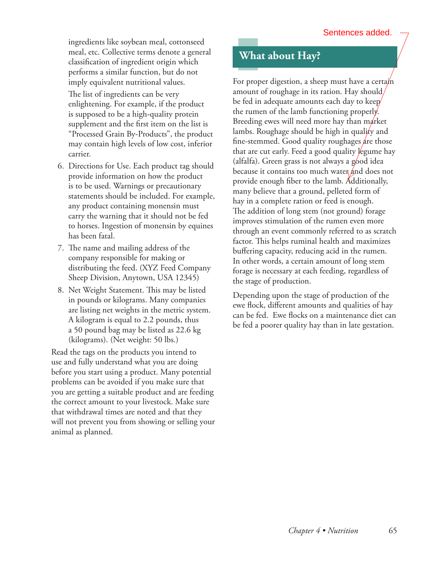ingredients like soybean meal, cottonseed meal, etc. Collective terms denote a general classification of ingredient origin which performs a similar function, but do not imply equivalent nutritional values.

The list of ingredients can be very enlightening. For example, if the product is supposed to be a high-quality protein supplement and the first item on the list is "Processed Grain By-Products", the product may contain high levels of low cost, inferior carrier.

- 6. Directions for Use. Each product tag should provide information on how the product is to be used. Warnings or precautionary statements should be included. For example, any product containing monensin must carry the warning that it should not be fed to horses. Ingestion of monensin by equines has been fatal.
- 7. The name and mailing address of the company responsible for making or distributing the feed. (XYZ Feed Company Sheep Division, Anytown, USA 12345)
- 8. Net Weight Statement. This may be listed in pounds or kilograms. Many companies are listing net weights in the metric system. A kilogram is equal to 2.2 pounds, thus a 50 pound bag may be listed as 22.6 kg (kilograms). (Net weight: 50 lbs.)

Read the tags on the products you intend to use and fully understand what you are doing before you start using a product. Many potential problems can be avoided if you make sure that you are getting a suitable product and are feeding the correct amount to your livestock. Make sure that withdrawal times are noted and that they will not prevent you from showing or selling your animal as planned.

#### **What about Hay?**

For proper digestion, a sheep must have a certain amount of roughage in its ration. Hay should be fed in adequate amounts each day to keep $\!/$ the rumen of the lamb functioning properly. Breeding ewes will need more hay than market lambs. Roughage should be high in quality and fine-stemmed. Good quality roughages are those that are cut early. Feed a good quality legume hay (alfalfa). Green grass is not always a good idea because it contains too much water and does not provide enough fiber to the lamb. Additionally, many believe that a ground, pelleted form of hay in a complete ration or feed is enough. The addition of long stem (not ground) forage improves stimulation of the rumen even more through an event commonly referred to as scratch factor. This helps ruminal health and maximizes buffering capacity, reducing acid in the rumen. In other words, a certain amount of long stem forage is necessary at each feeding, regardless of the stage of production.

Depending upon the stage of production of the ewe flock, different amounts and qualities of hay can be fed. Ewe flocks on a maintenance diet can be fed a poorer quality hay than in late gestation.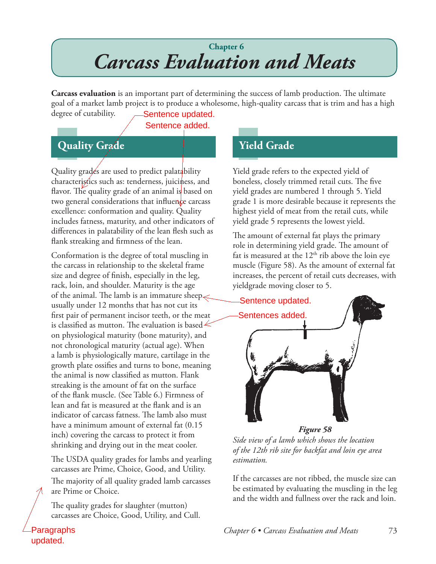# **Chapter 6** *Carcass Evaluation and Meats*

**Carcass evaluation** is an important part of determining the success of lamb production. The ultimate goal of a market lamb project is to produce a wholesome, high-quality carcass that is trim and has a high degree of cutability. Sentence updated.

Sentence added.

#### **Quality Grade**

Quality grades are used to predict palatability characteristics such as: tenderness, juiciness, and flavor. The quality grade of an animal is based on two general considerations that influence carcass excellence: conformation and quality. Quality includes fatness, maturity, and other indicators of differences in palatability of the lean flesh such as flank streaking and firmness of the lean.

Conformation is the degree of total muscling in the carcass in relationship to the skeletal frame size and degree of finish, especially in the leg, rack, loin, and shoulder. Maturity is the age of the animal. The lamb is an immature sheep $\lt$ usually under 12 months that has not cut its first pair of permanent incisor teeth, or the meat is classified as mutton. The evaluation is based  $\leq$ on physiological maturity (bone maturity), and not chronological maturity (actual age). When a lamb is physiologically mature, cartilage in the growth plate ossifies and turns to bone, meaning the animal is now classified as mutton. Flank streaking is the amount of fat on the surface of the flank muscle. (See Table 6.) Firmness of lean and fat is measured at the flank and is an indicator of carcass fatness. The lamb also must have a minimum amount of external fat (0.15 inch) covering the carcass to protect it from shrinking and drying out in the meat cooler.

The USDA quality grades for lambs and yearling carcasses are Prime, Choice, Good, and Utility. The majority of all quality graded lamb carcasses are Prime or Choice.

The quality grades for slaughter (mutton) carcasses are Choice, Good, Utility, and Cull.

Paragraphs updated.

## **Yield Grade**

Yield grade refers to the expected yield of boneless, closely trimmed retail cuts. The five yield grades are numbered 1 through 5. Yield grade 1 is more desirable because it represents the highest yield of meat from the retail cuts, while yield grade 5 represents the lowest yield.

The amount of external fat plays the primary role in determining yield grade. The amount of fat is measured at the  $12<sup>th</sup>$  rib above the loin eye muscle (Figure 58). As the amount of external fat increases, the percent of retail cuts decreases, with yieldgrade moving closer to 5.



*Side view of a lamb which shows the location of the 12th rib site for backfat and loin eye area estimation.*

If the carcasses are not ribbed, the muscle size can be estimated by evaluating the muscling in the leg and the width and fullness over the rack and loin.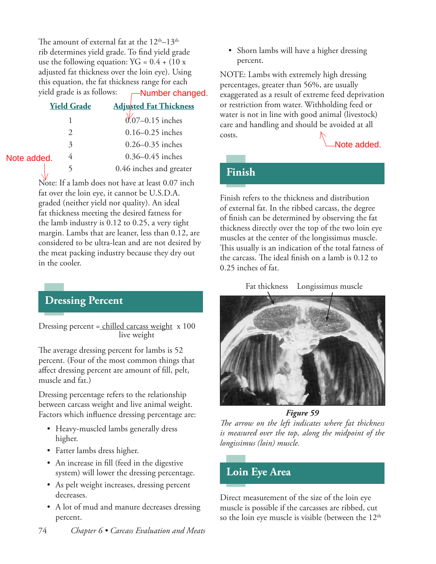The amount of external fat at the  $12<sup>th</sup>-13<sup>th</sup>$ rib determines yield grade. To find yield grade use the following equation:  $YG = 0.4 + (10 x)$ adjusted fat thickness over the loin eye). Using this equation, the fat thickness range for each yield grade is as follows:

|             | yield grade is as follows: | -Number changed.              |
|-------------|----------------------------|-------------------------------|
|             | <b>Yield Grade</b>         | <b>Adjusted Fat Thickness</b> |
|             |                            | $0.07 - 0.15$ inches          |
|             |                            | $0.16 - 0.25$ inches          |
|             | 3                          | $0.26 - 0.35$ inches          |
| Note added. | 4                          | $0.36 - 0.45$ inches          |
|             |                            | 0.46 inches and greater       |

Note: If a lamb does not have at least 0.07 inch fat over the loin eye, it cannot be U.S.D.A. graded (neither yield nor quality). An ideal fat thickness meeting the desired fatness for the lamb industry is 0.12 to 0.25, a very tight margin. Lambs that are leaner, less than 0.12, are considered to be ultra-lean and are not desired by the meat packing industry because they dry out in the cooler.

#### **Dressing Percent**

Dressing percent = chilled carcass weight x 100 live weight

The average dressing percent for lambs is 52 percent. (Four of the most common things that affect dressing percent are amount of fill, pelt, muscle and fat.)

Dressing percentage refers to the relationship between carcass weight and live animal weight. Factors which influence dressing percentage are:

- Heavy-muscled lambs generally dress higher.
- Fatter lambs dress higher.
- An increase in fill (feed in the digestive system) will lower the dressing percentage.
- As pelt weight increases, dressing percent decreases.
- A lot of mud and manure decreases dressing percent.
- 74 *Chapter 6 Carcass Evaluation and Meats*

• Shorn lambs will have a higher dressing percent.

NOTE: Lambs with extremely high dressing percentages, greater than 56%, are usually exaggerated as a result of extreme feed deprivation or restriction from water. Withholding feed or water is not in line with good animal (livestock) care and handling and should be avoided at all costs. Note added.

# **Finish**

Finish refers to the thickness and distribution of external fat. In the ribbed carcass, the degree of finish can be determined by observing the fat thickness directly over the top of the two loin eye muscles at the center of the longissimus muscle. This usually is an indication of the total fatness of the carcass. The ideal finish on a lamb is 0.12 to 0.25 inches of fat.

Fat thickness Longissimus muscle



*Figure 59*

*The arrow on the left indicates where fat thickness is measured over the top, along the midpoint of the longissimus (loin) muscle.*

#### **Loin Eye Area**

Direct measurement of the size of the loin eye muscle is possible if the carcasses are ribbed, cut so the loin eye muscle is visible (between the  $12<sup>th</sup>$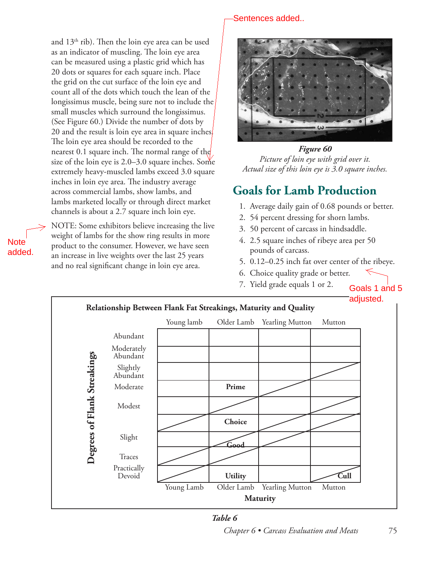and 13th rib). Then the loin eye area can be used as an indicator of muscling. The loin eye area can be measured using a plastic grid which has 20 dots or squares for each square inch. Place the grid on the cut surface of the loin eye and count all of the dots which touch the lean of the longissimus muscle, being sure not to include the small muscles which surround the longissimus. (See Figure 60.) Divide the number of dots by 20 and the result is loin eye area in square inches. The loin eye area should be recorded to the nearest 0.1 square inch. The normal range of the size of the loin eye is 2.0–3.0 square inches. Some extremely heavy-muscled lambs exceed 3.0 square inches in loin eye area. The industry average across commercial lambs, show lambs, and lambs marketed locally or through direct market channels is about a 2.7 square inch loin eye.

NOTE: Some exhibitors believe increasing the live weight of lambs for the show ring results in more product to the consumer. However, we have seen an increase in live weights over the last 25 years and no real significant change in loin eye area.

**Note** added.

#### Sentences added..



*Figure 60 Picture of loin eye with grid over it. Actual size of this loin eye is 3.0 square inches.*

## **Goals for Lamb Production**

- 1. Average daily gain of 0.68 pounds or better.
- 2. 54 percent dressing for shorn lambs.
- 3. 50 percent of carcass in hindsaddle.
- 4. 2.5 square inches of ribeye area per 50 pounds of carcass.
- 5. 0.12–0.25 inch fat over center of the ribeye.
- 6. Choice quality grade or better.
- 7. Yield grade equals 1 or 2.

Goals 1 and 5 adjusted.





#### *Chapter 6 • Carcass Evaluation and Meats* 75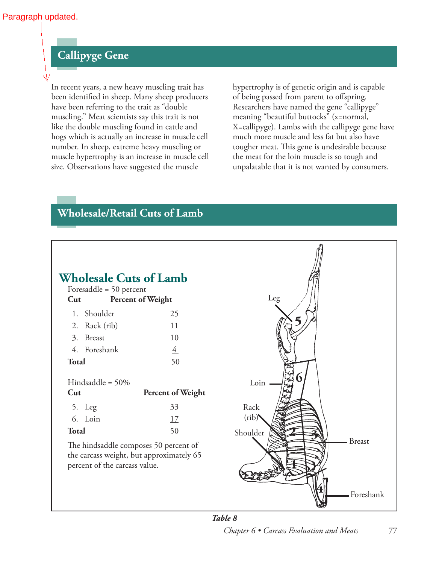#### **Callipyge Gene**

In recent years, a new heavy muscling trait has been identified in sheep. Many sheep producers have been referring to the trait as "double muscling." Meat scientists say this trait is not like the double muscling found in cattle and hogs which is actually an increase in muscle cell number. In sheep, extreme heavy muscling or muscle hypertrophy is an increase in muscle cell size. Observations have suggested the muscle

hypertrophy is of genetic origin and is capable of being passed from parent to offspring. Researchers have named the gene "callipyge" meaning "beautiful buttocks" (x=normal, X=callipyge). Lambs with the callipyge gene have much more muscle and less fat but also have tougher meat. This gene is undesirable because the meat for the loin muscle is so tough and unpalatable that it is not wanted by consumers.

#### **Wholesale/Retail Cuts of Lamb**

| <b>Wholesale Cuts of Lamb</b><br>Foresaddle = 50 percent<br>Cut | Percent of Weight                                                                 | Leg                        |
|-----------------------------------------------------------------|-----------------------------------------------------------------------------------|----------------------------|
| 1. Shoulder                                                     | 25                                                                                |                            |
| Rack (rib)<br>2.                                                | 11                                                                                |                            |
| 3.<br><b>Breast</b>                                             | 10                                                                                |                            |
| 4. Foreshank                                                    | $\overline{4}$                                                                    |                            |
| <b>Total</b>                                                    | 50                                                                                |                            |
| Hindsaddle = $50\%$                                             |                                                                                   | Loin                       |
| Cut                                                             | <b>Percent of Weight</b>                                                          |                            |
| 5. Leg                                                          | 33                                                                                | Rack                       |
| 6. Loin                                                         | 17                                                                                | (rib)                      |
| <b>Total</b>                                                    | 50                                                                                | Shoulder                   |
| percent of the carcass value.                                   | The hindsaddle composes 50 percent of<br>the carcass weight, but approximately 65 | <b>Breast</b><br>Foreshank |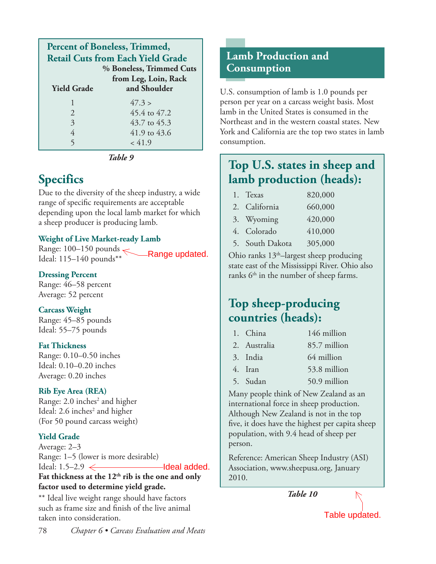| <b>Percent of Boneless, Trimmed,</b>     |                      |  |
|------------------------------------------|----------------------|--|
| <b>Retail Cuts from Each Yield Grade</b> |                      |  |
| % Boneless, Trimmed Cuts                 |                      |  |
|                                          | from Leg, Loin, Rack |  |
| <b>Yield Grade</b>                       | and Shoulder         |  |
|                                          | 47.3 >               |  |
| $\mathcal{L}$                            | 45.4 to 47.2         |  |
| 3                                        | 43.7 to 45.3         |  |
| 4                                        | 41.9 to 43.6         |  |
|                                          | < 41.9               |  |

*Table 9*

# **Specifics**

Due to the diversity of the sheep industry, a wide range of specific requirements are acceptable depending upon the local lamb market for which a sheep producer is producing lamb.

#### **Weight of Live Market-ready Lamb**

Range: 100–150 pounds<br>Range updated. Ideal: 115–140 pounds\*\*

#### **Dressing Percent**

Range: 46–58 percent Average: 52 percent

#### **Carcass Weight**

Range: 45–85 pounds Ideal: 55–75 pounds

#### **Fat Thickness**

Range: 0.10–0.50 inches Ideal: 0.10–0.20 inches Average: 0.20 inches

#### **Rib Eye Area (REA)**

Range: 2.0 inches<sup>2</sup> and higher Ideal: 2.6 inches<sup>2</sup> and higher (For 50 pound carcass weight)

#### **Yield Grade**

Average: 2–3 Range: 1–5 (lower is more desirable) Ideal:  $1.5-2.9 \leftarrow$ Fat thickness at the 12<sup>th</sup> rib is the one and only **factor used to determine yield grade.**

\*\* Ideal live weight range should have factors such as frame size and finish of the live animal taken into consideration.

U.S. consumption of lamb is 1.0 pounds per person per year on a carcass weight basis. Most lamb in the United States is consumed in the Northeast and in the western coastal states. New York and California are the top two states in lamb consumption.

# **Top U.S. states in sheep and lamb production (heads):**

| 1. Texas        | 820,000 |
|-----------------|---------|
| 2. California   | 660,000 |
| 3. Wyoming      | 420,000 |
| 4. Colorado     | 410,000 |
| 5. South Dakota | 305,000 |

Ohio ranks  $13<sup>th</sup>$ -largest sheep producing state east of the Mississippi River. Ohio also ranks  $6<sup>th</sup>$  in the number of sheep farms.

# **Top sheep-producing countries (heads):**

| 1. China     | 146 million  |
|--------------|--------------|
| 2. Australia | 85.7 million |

- 3. India 64 million
- 4. Iran 53.8 million
- 5. Sudan 50.9 million

Many people think of New Zealand as an international force in sheep production. Although New Zealand is not in the top five, it does have the highest per capita sheep population, with 9.4 head of sheep per person. Range updated.<br>
Ohio ranks 13<sup>th</sup>-largest sheep producing<br>
state east of the Mississippi River. Ohio also<br>
ranks 6<sup>th</sup> in the number of sheep farms.<br> **Top sheep-producing**<br> **Countries (heads):**<br>
1. China 146 million<br>
2. A

Reference: American Sheep Industry (ASI) Association, www.sheepusa.org, January 2010.

*Table 10*